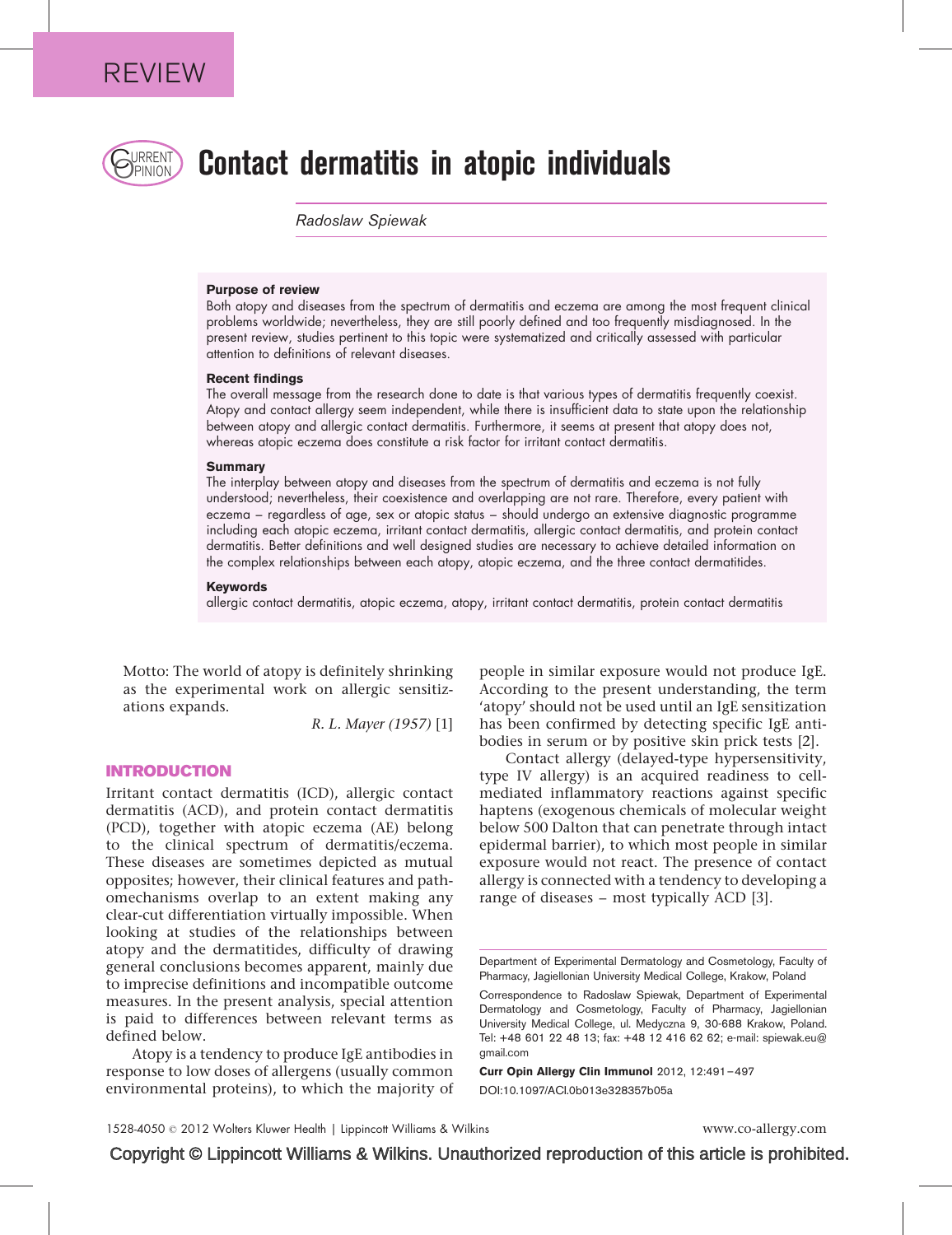

# **PRRENT Contact dermatitis in atopic individuals**

Radoslaw Spiewak

#### Purpose of review

Both atopy and diseases from the spectrum of dermatitis and eczema are among the most frequent clinical problems worldwide; nevertheless, they are still poorly defined and too frequently misdiagnosed. In the present review, studies pertinent to this topic were systematized and critically assessed with particular attention to definitions of relevant diseases.

#### Recent findings

The overall message from the research done to date is that various types of dermatitis frequently coexist. Atopy and contact allergy seem independent, while there is insufficient data to state upon the relationship between atopy and allergic contact dermatitis. Furthermore, it seems at present that atopy does not, whereas atopic eczema does constitute a risk factor for irritant contact dermatitis.

#### Summary

The interplay between atopy and diseases from the spectrum of dermatitis and eczema is not fully understood; nevertheless, their coexistence and overlapping are not rare. Therefore, every patient with eczema – regardless of age, sex or atopic status – should undergo an extensive diagnostic programme including each atopic eczema, irritant contact dermatitis, allergic contact dermatitis, and protein contact dermatitis. Better definitions and well designed studies are necessary to achieve detailed information on the complex relationships between each atopy, atopic eczema, and the three contact dermatitides.

#### Keywords

allergic contact dermatitis, atopic eczema, atopy, irritant contact dermatitis, protein contact dermatitis

Motto: The world of atopy is definitely shrinking as the experimental work on allergic sensitizations expands.

R. L. Mayer (1957) [\[1\]](#page-4-0)

#### INTRODUCTION

Irritant contact dermatitis (ICD), allergic contact dermatitis (ACD), and protein contact dermatitis (PCD), together with atopic eczema (AE) belong to the clinical spectrum of dermatitis/eczema. These diseases are sometimes depicted as mutual opposites; however, their clinical features and pathomechanisms overlap to an extent making any clear-cut differentiation virtually impossible. When looking at studies of the relationships between atopy and the dermatitides, difficulty of drawing general conclusions becomes apparent, mainly due to imprecise definitions and incompatible outcome measures. In the present analysis, special attention is paid to differences between relevant terms as defined below.

Atopy is a tendency to produce IgE antibodies in response to low doses of allergens (usually common environmental proteins), to which the majority of

people in similar exposure would not produce IgE. According to the present understanding, the term 'atopy' should not be used until an IgE sensitization has been confirmed by detecting specific IgE antibodies in serum or by positive skin prick tests [\[2\]](#page-4-0).

Contact allergy (delayed-type hypersensitivity, type IV allergy) is an acquired readiness to cellmediated inflammatory reactions against specific haptens (exogenous chemicals of molecular weight below 500 Dalton that can penetrate through intact epidermal barrier), to which most people in similar exposure would not react. The presence of contact allergy is connected with a tendency to developing a range of diseases – most typically ACD [\[3\]](#page-5-0).

Curr Opin Allergy Clin Immunol 2012, 12:491–497 DOI:10.1097/ACI.0b013e328357b05a

Department of Experimental Dermatology and Cosmetology, Faculty of Pharmacy, Jagiellonian University Medical College, Krakow, Poland

Correspondence to Radoslaw Spiewak, Department of Experimental Dermatology and Cosmetology, Faculty of Pharmacy, Jagiellonian University Medical College, ul. Medyczna 9, 30-688 Krakow, Poland. Tel: +48 601 22 48 13; fax: +48 12 416 62 62; e-mail: [spiewak.eu@](mailto:spiewak.eu@gmail.com) [gmail.com](mailto:spiewak.eu@gmail.com)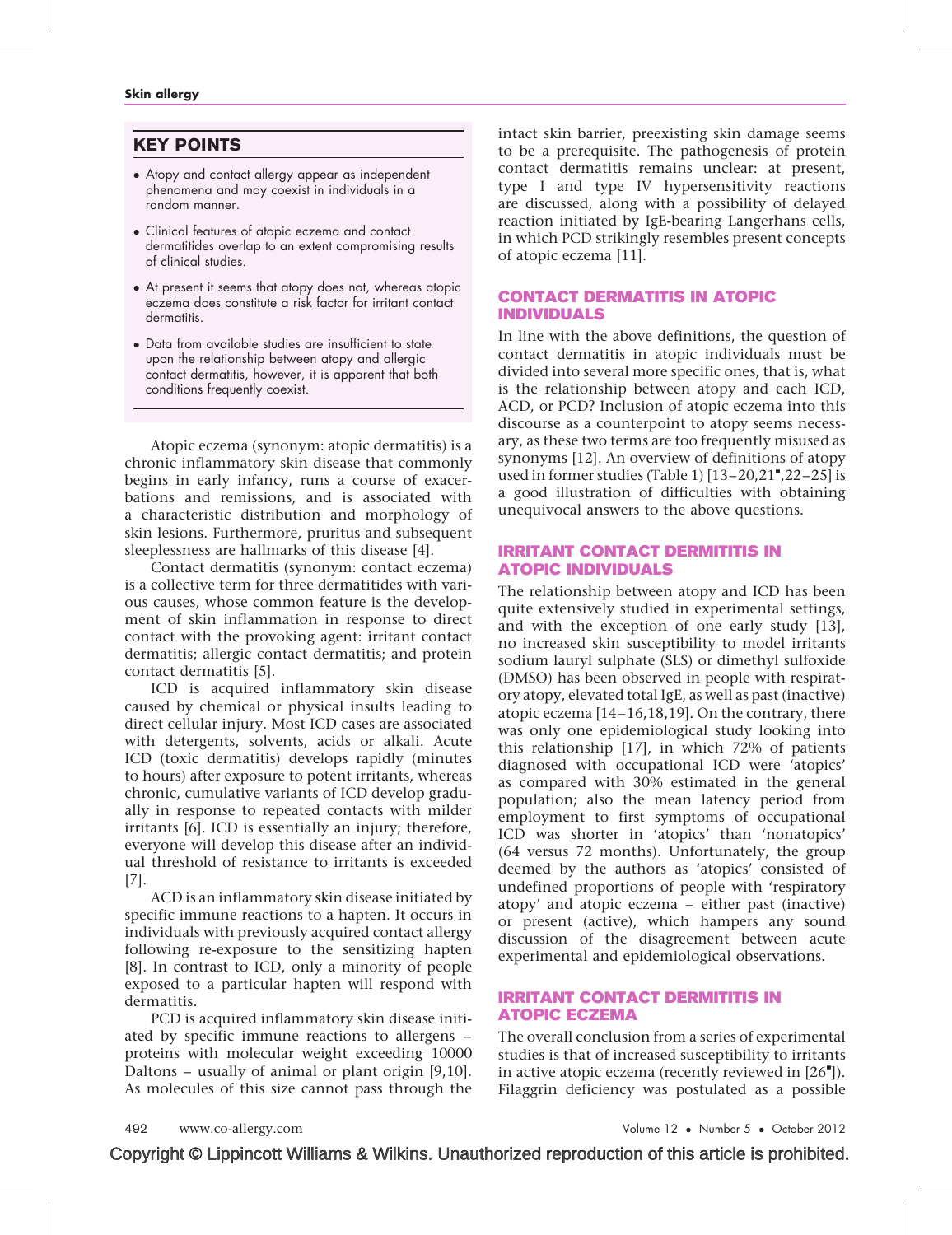## KEY POINTS

- Atopy and contact allergy appear as independent phenomena and may coexist in individuals in a random manner.
- Clinical features of atopic eczema and contact dermatitides overlap to an extent compromising results of clinical studies.
- At present it seems that atopy does not, whereas atopic eczema does constitute a risk factor for irritant contact dermatitis.
- Data from available studies are insufficient to state upon the relationship between atopy and allergic contact dermatitis, however, it is apparent that both conditions frequently coexist.

Atopic eczema (synonym: atopic dermatitis) is a chronic inflammatory skin disease that commonly begins in early infancy, runs a course of exacerbations and remissions, and is associated with a characteristic distribution and morphology of skin lesions. Furthermore, pruritus and subsequent sleeplessness are hallmarks of this disease [\[4\]](#page-5-0).

Contact dermatitis (synonym: contact eczema) is a collective term for three dermatitides with various causes, whose common feature is the development of skin inflammation in response to direct contact with the provoking agent: irritant contact dermatitis; allergic contact dermatitis; and protein contact dermatitis [\[5\].](#page-5-0)

ICD is acquired inflammatory skin disease caused by chemical or physical insults leading to direct cellular injury. Most ICD cases are associated with detergents, solvents, acids or alkali. Acute ICD (toxic dermatitis) develops rapidly (minutes to hours) after exposure to potent irritants, whereas chronic, cumulative variants of ICD develop gradually in response to repeated contacts with milder irritants [\[6\].](#page-5-0) ICD is essentially an injury; therefore, everyone will develop this disease after an individual threshold of resistance to irritants is exceeded [\[7\]](#page-5-0).

ACD is an inflammatory skin disease initiated by specific immune reactions to a hapten. It occurs in individuals with previously acquired contact allergy following re-exposure to the sensitizing hapten [\[8\]](#page-5-0). In contrast to ICD, only a minority of people exposed to a particular hapten will respond with dermatitis.

PCD is acquired inflammatory skin disease initiated by specific immune reactions to allergens – proteins with molecular weight exceeding 10000 Daltons – usually of animal or plant origin [\[9,10\].](#page-5-0) As molecules of this size cannot pass through the intact skin barrier, preexisting skin damage seems to be a prerequisite. The pathogenesis of protein contact dermatitis remains unclear: at present, type I and type IV hypersensitivity reactions are discussed, along with a possibility of delayed reaction initiated by IgE-bearing Langerhans cells, in which PCD strikingly resembles present concepts of atopic eczema [\[11\]](#page-5-0).

### CONTACT DERMATITIS IN ATOPIC INDIVIDUALS

In line with the above definitions, the question of contact dermatitis in atopic individuals must be divided into several more specific ones, that is, what is the relationship between atopy and each ICD, ACD, or PCD? Inclusion of atopic eczema into this discourse as a counterpoint to atopy seems necessary, as these two terms are too frequently misused as synonyms [\[12\]](#page-5-0). An overview of definitions of atopy used in former studies (Table 1)  $[13-20,21",22-25]$  is a good illustration of difficulties with obtaining unequivocal answers to the above questions.

### IRRITANT CONTACT DERMITITIS IN ATOPIC INDIVIDUALS

The relationship between atopy and ICD has been quite extensively studied in experimental settings, and with the exception of one early study [\[13\],](#page-5-0) no increased skin susceptibility to model irritants sodium lauryl sulphate (SLS) or dimethyl sulfoxide (DMSO) has been observed in people with respiratory atopy, elevated total IgE, as well as past (inactive) atopic eczema [\[14–16,18,19\].](#page-5-0) On the contrary, there was only one epidemiological study looking into this relationship [\[17\],](#page-5-0) in which 72% of patients diagnosed with occupational ICD were 'atopics' as compared with 30% estimated in the general population; also the mean latency period from employment to first symptoms of occupational ICD was shorter in 'atopics' than 'nonatopics' (64 versus 72 months). Unfortunately, the group deemed by the authors as 'atopics' consisted of undefined proportions of people with 'respiratory atopy' and atopic eczema – either past (inactive) or present (active), which hampers any sound discussion of the disagreement between acute experimental and epidemiological observations.

## IRRITANT CONTACT DERMITITIS IN ATOPIC ECZEMA

The overall conclusion from a series of experimental studies is that of increased susceptibility to irritants in active atopic eczema (recently reviewed in [\[26](#page-5-0)"[\]](#page-5-0)). Filaggrin deficiency was postulated as a possible

492 www.co-allergy.com **Volume 12 • Number 5 • October 2012**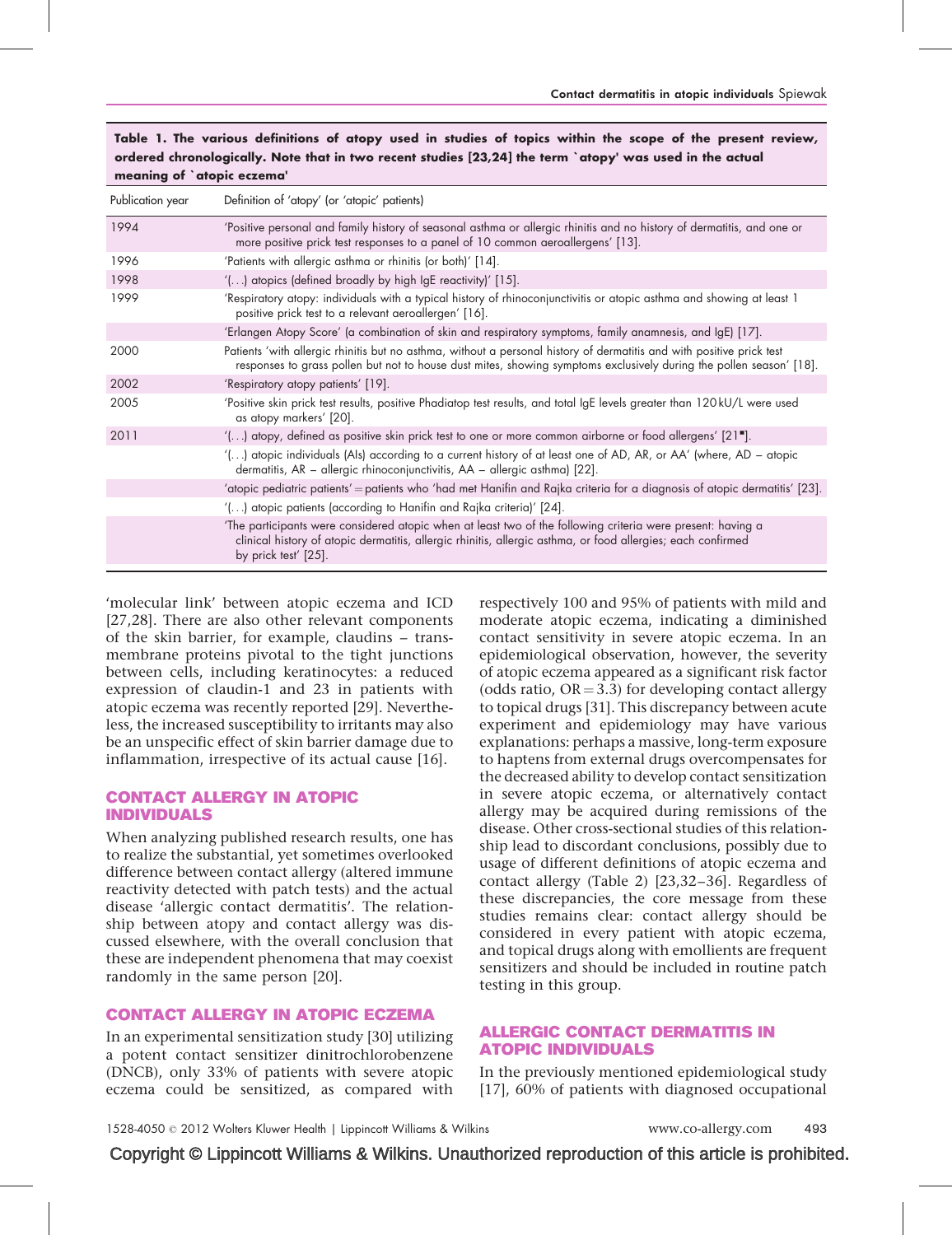#### Table 1. The various definitions of atopy used in studies of topics within the scope of the present review, ordered chronologically. Note that in two recent studies [\[23,24\]](#page-5-0) the term 'atopy' was used in the actual meaning of 'atopic eczema'

| Publication year | Definition of 'atopy' (or 'atopic' patients)                                                                                                                                                                                                       |  |  |
|------------------|----------------------------------------------------------------------------------------------------------------------------------------------------------------------------------------------------------------------------------------------------|--|--|
| 1994             | 'Positive personal and family history of seasonal asthma or allergic rhinitis and no history of dermatitis, and one or<br>more positive prick test responses to a panel of 10 common aeroallergens' [13].                                          |  |  |
| 1996             | 'Patients with allergic asthma or rhinitis (or both)' [14].                                                                                                                                                                                        |  |  |
| 1998             | '() atopics (defined broadly by high IgE reactivity)' [15].                                                                                                                                                                                        |  |  |
| 1999             | 'Respiratory atopy: individuals with a typical history of rhinoconjunctivitis or atopic asthma and showing at least 1<br>positive prick test to a relevant aeroallergen' [16].                                                                     |  |  |
|                  | 'Erlangen Atopy Score' (a combination of skin and respiratory symptoms, family anamnesis, and IgE) [17].                                                                                                                                           |  |  |
| 2000             | Patients 'with allergic rhinitis but no asthma, without a personal history of dermatitis and with positive prick test<br>responses to grass pollen but not to house dust mites, showing symptoms exclusively during the pollen season' [18].       |  |  |
| 2002             | 'Respiratory atopy patients' [19].                                                                                                                                                                                                                 |  |  |
| 2005             | 'Positive skin prick test results, positive Phadiatop test results, and total IgE levels greater than 120kU/L were used<br>as atopy markers' [20].                                                                                                 |  |  |
| 2011             | '() atopy, defined as positive skin prick test to one or more common airborne or food allergens' [21"].                                                                                                                                            |  |  |
|                  | '() atopic individuals (Als) according to a current history of at least one of AD, AR, or AA' (where, AD – atopic<br>dermatitis, AR – allergic rhinoconjunctivitis, AA – allergic asthma) [22].                                                    |  |  |
|                  | 'atopic pediatric patients' = patients who 'had met Hanifin and Rajka criteria for a diagnosis of atopic dermatitis' [23].                                                                                                                         |  |  |
|                  | $(1, 1)$ atopic patients (according to Hanifin and Rajka criteria)' [24].                                                                                                                                                                          |  |  |
|                  | The participants were considered atopic when at least two of the following criteria were present: having a<br>clinical history of atopic dermatitis, allergic rhinitis, allergic asthma, or food allergies; each confirmed<br>by prick test' [25]. |  |  |

'molecular link' between atopic eczema and ICD [\[27,28\]](#page-5-0). There are also other relevant components of the skin barrier, for example, claudins – transmembrane proteins pivotal to the tight junctions between cells, including keratinocytes: a reduced expression of claudin-1 and 23 in patients with atopic eczema was recently reported [\[29\].](#page-5-0) Nevertheless, the increased susceptibility to irritants may also be an unspecific effect of skin barrier damage due to inflammation, irrespective of its actual cause [\[16\]](#page-5-0).

### CONTACT ALLERGY IN ATOPIC INDIVIDUALS

When analyzing published research results, one has to realize the substantial, yet sometimes overlooked difference between contact allergy (altered immune reactivity detected with patch tests) and the actual disease 'allergic contact dermatitis'. The relationship between atopy and contact allergy was discussed elsewhere, with the overall conclusion that these are independent phenomena that may coexist randomly in the same person [\[20\].](#page-5-0)

## CONTACT ALLERGY IN ATOPIC ECZEMA

In an experimental sensitization study [\[30\]](#page-5-0) utilizing a potent contact sensitizer dinitrochlorobenzene (DNCB), only 33% of patients with severe atopic eczema could be sensitized, as compared with

respectively 100 and 95% of patients with mild and moderate atopic eczema, indicating a diminished contact sensitivity in severe atopic eczema. In an epidemiological observation, however, the severity of atopic eczema appeared as a significant risk factor (odds ratio,  $OR = 3.3$ ) for developing contact allergy to topical drugs [\[31\]](#page-5-0). This discrepancy between acute experiment and epidemiology may have various explanations: perhaps a massive, long-term exposure to haptens from external drugs overcompensates for the decreased ability to develop contact sensitization in severe atopic eczema, or alternatively contact allergy may be acquired during remissions of the disease. Other cross-sectional studies of this relationship lead to discordant conclusions, possibly due to usage of different definitions of atopic eczema and contact allergy (Table 2) [\[23,32–36\]](#page-5-0). Regardless of these discrepancies, the core message from these studies remains clear: contact allergy should be considered in every patient with atopic eczema, and topical drugs along with emollients are frequent sensitizers and should be included in routine patch testing in this group.

## ALLERGIC CONTACT DERMATITIS IN ATOPIC INDIVIDUALS

In the previously mentioned epidemiological study [\[17\],](#page-5-0) 60% of patients with diagnosed occupational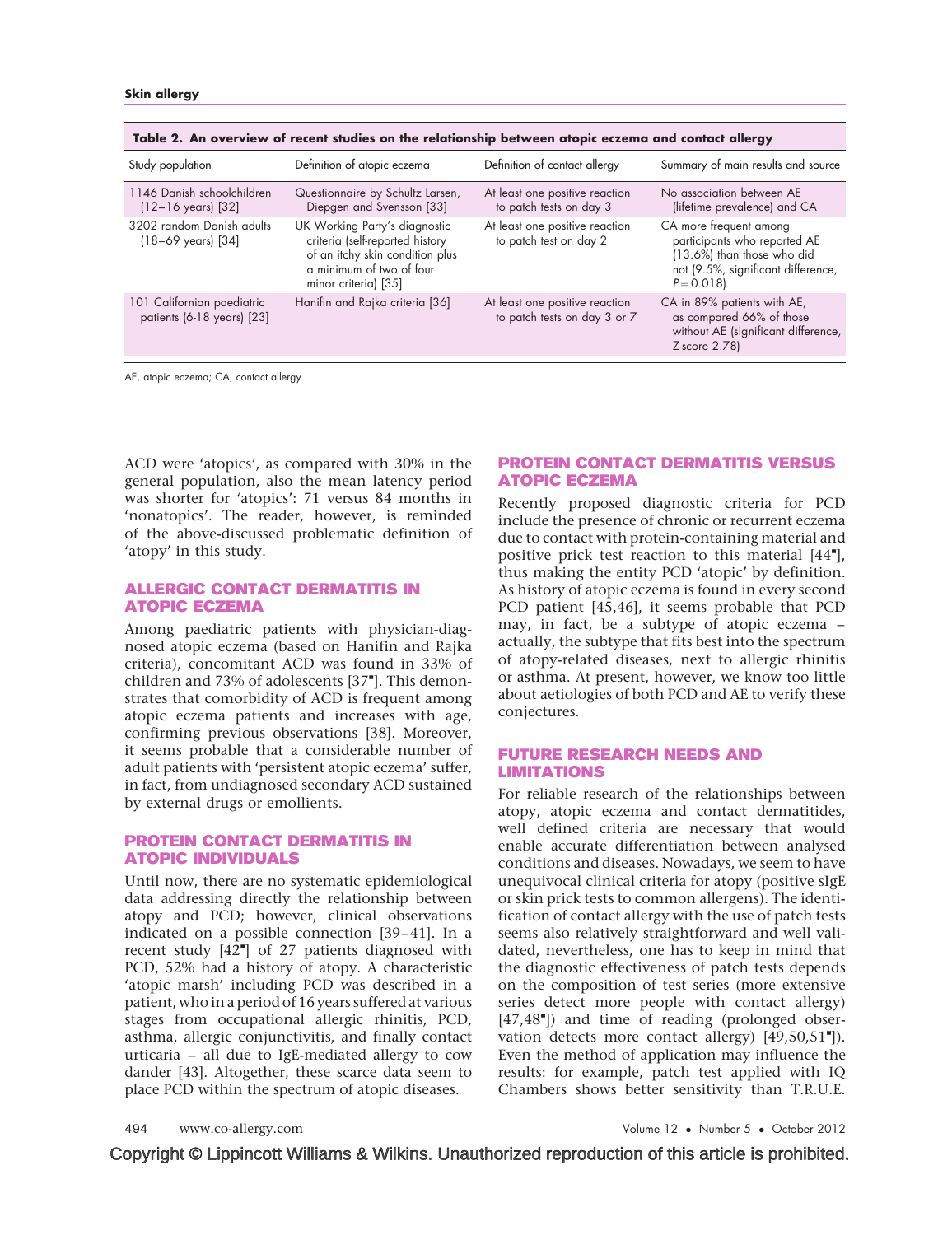| Study population                                             | Definition of atopic eczema                                                                                                                             | Definition of contact allergy                                  | Summary of main results and source                                                                                                        |
|--------------------------------------------------------------|---------------------------------------------------------------------------------------------------------------------------------------------------------|----------------------------------------------------------------|-------------------------------------------------------------------------------------------------------------------------------------------|
| 1146 Danish schoolchildren<br>$(12-16 \text{ years})$ $[32]$ | Questionnaire by Schultz Larsen,<br>Diepgen and Svensson [33]                                                                                           | At least one positive reaction<br>to patch tests on day 3      | No association between AE<br>(lifetime prevalence) and CA                                                                                 |
| 3202 random Danish adults<br>$(18-69 \text{ years})$ $[34]$  | UK Working Party's diagnostic<br>criteria (self-reported history<br>of an itchy skin condition plus<br>a minimum of two of four<br>minor criteria) [35] | At least one positive reaction<br>to patch test on day 2       | CA more frequent among<br>participants who reported AE<br>(13.6%) than those who did<br>not (9.5%, significant difference,<br>$P = 0.018$ |
| 101 Californian paediatric<br>patients (6-18 years) [23]     | Hanifin and Rajka criteria [36]                                                                                                                         | At least one positive reaction<br>to patch tests on day 3 or 7 | CA in 89% patients with AE,<br>as compared 66% of those<br>without AE (significant difference,<br>$Z$ -score $2.78$                       |

Table 2. An overview of recent studies on the relationship between atopic eczema and contact allergy

AE, atopic eczema; CA, contact allergy.

ACD were 'atopics', as compared with 30% in the general population, also the mean latency period was shorter for 'atopics': 71 versus 84 months in 'nonatopics'. The reader, however, is reminded of the above-discussed problematic definition of 'atopy' in this study.

## ALLERGIC CONTACT DERMATITIS IN ATOPIC ECZEMA

Among paediatric patients with physician-diagnosed atopic eczema (based on Hanifin and Rajka criteria), concomitant ACD was found in 33% of children and 73% of adolescents [\[37](#page-5-0)"[\].](#page-5-0) This demonstrates that comorbidity of ACD is frequent among atopic eczema patients and increases with age, confirming previous observations [\[38\]](#page-5-0). Moreover, it seems probable that a considerable number of adult patients with 'persistent atopic eczema' suffer, in fact, from undiagnosed secondary ACD sustained by external drugs or emollients.

### PROTEIN CONTACT DERMATITIS IN ATOPIC INDIVIDUALS

Until now, there are no systematic epidemiological data addressing directly the relationship between atopy and PCD; however, clinical observations indicated on a possible connection [\[39–41\].](#page-5-0) In a recent study [\[42](#page-5-0)"[\]](#page-5-0) of 27 patients diagnosed with PCD, 52% had a history of atopy. A characteristic 'atopic marsh' including PCD was described in a patient, who in a period of 16 years suffered at various stages from occupational allergic rhinitis, PCD, asthma, allergic conjunctivitis, and finally contact urticaria – all due to IgE-mediated allergy to cow dander [\[43\]](#page-5-0). Altogether, these scarce data seem to place PCD within the spectrum of atopic diseases.

## PROTEIN CONTACT DERMATITIS VERSUS ATOPIC ECZEMA

Recently proposed diagnostic criteria for PCD include the presence of chronic or recurrent eczema due to contact with protein-containing material and positive prick test reaction to this material [\[44](#page-5-0)"[\],](#page-5-0) thus making the entity PCD 'atopic' by definition. As history of atopic eczema is found in every second PCD patient [\[45,46\]](#page-5-0), it seems probable that PCD may, in fact, be a subtype of atopic eczema – actually, the subtype that fits best into the spectrum of atopy-related diseases, next to allergic rhinitis or asthma. At present, however, we know too little about aetiologies of both PCD and AE to verify these conjectures.

## FUTURE RESEARCH NEEDS AND LIMITATIONS

For reliable research of the relationships between atopy, atopic eczema and contact dermatitides, well defined criteria are necessary that would enable accurate differentiation between analysed conditions and diseases. Nowadays, we seem to have unequivocal clinical criteria for atopy (positive sIgE or skin prick tests to common allergens). The identification of contact allergy with the use of patch tests seems also relatively straightforward and well validated, nevertheless, one has to keep in mind that the diagnostic effectiveness of patch tests depends on the composition of test series (more extensive series detect more people with contact allergy) [\[47,48](#page-5-0)"[\]\)](#page-5-0) and time of reading (prolonged observation detects more contact allergy)  $[49,50,51$ <sup>"</sup>[\]](#page-5-0)). Even the method of application may influence the results: for example, patch test applied with IQ Chambers shows better sensitivity than T.R.U.E.

494 www.co-allergy.com **Volume 12 • Number 5 • October 2012**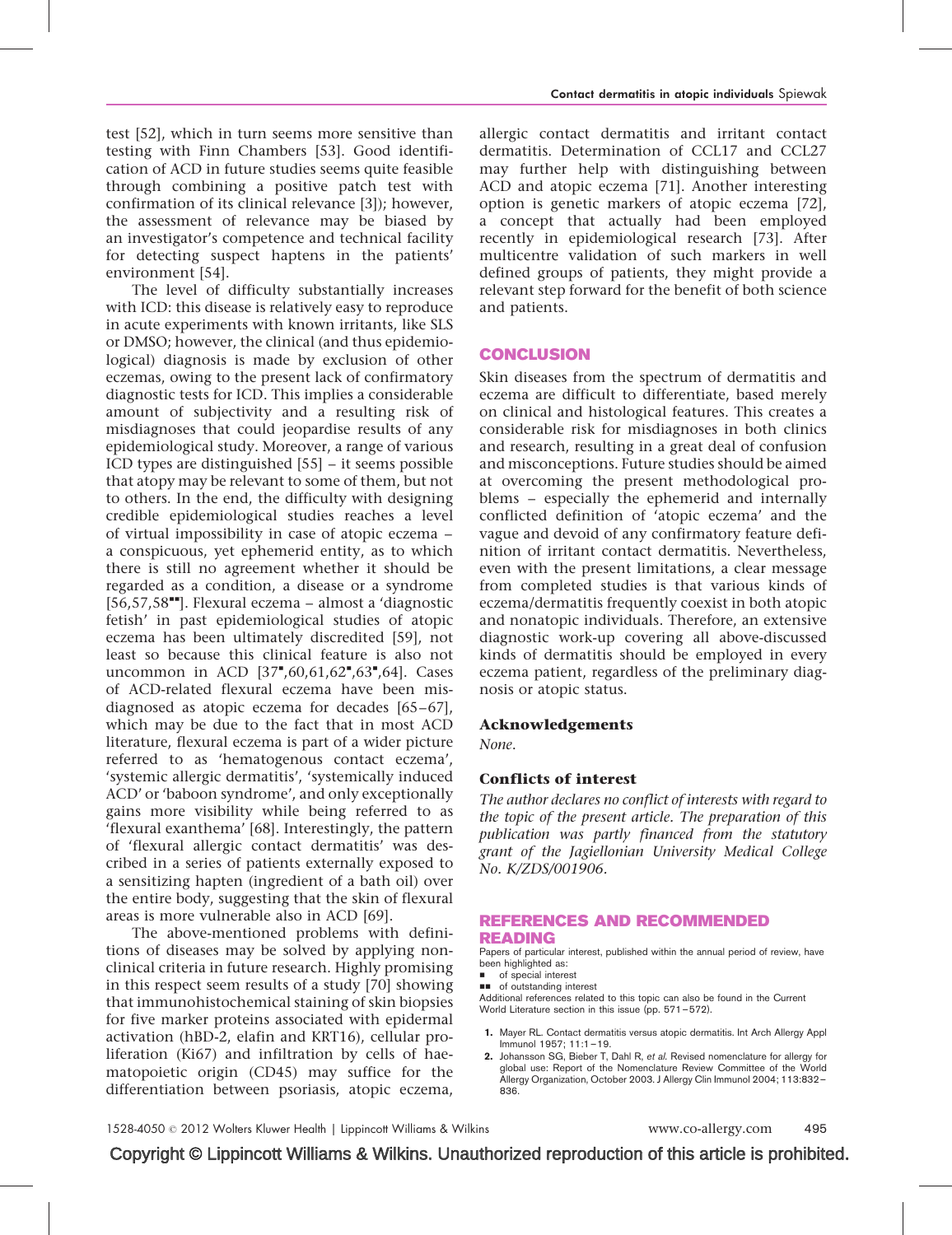<span id="page-4-0"></span>test [\[52\]](#page-5-0), which in turn seems more sensitive than testing with Finn Chambers [\[53\].](#page-5-0) Good identification of ACD in future studies seems quite feasible through combining a positive patch test with confirmation of its clinical relevance [\[3\]\)](#page-5-0); however, the assessment of relevance may be biased by an investigator's competence and technical facility for detecting suspect haptens in the patients' environment [\[54\]](#page-5-0).

The level of difficulty substantially increases with ICD: this disease is relatively easy to reproduce in acute experiments with known irritants, like SLS or DMSO; however, the clinical (and thus epidemiological) diagnosis is made by exclusion of other eczemas, owing to the present lack of confirmatory diagnostic tests for ICD. This implies a considerable amount of subjectivity and a resulting risk of misdiagnoses that could jeopardise results of any epidemiological study. Moreover, a range of various ICD types are distinguished [\[55\]](#page-5-0) – it seems possible that atopy may be relevant to some of them, but not to others. In the end, the difficulty with designing credible epidemiological studies reaches a level of virtual impossibility in case of atopic eczema – a conspicuous, yet ephemerid entity, as to which there is still no agreement whether it should be regarded as a condition, a disease or a syndrome  $[56,57,58$ <sup> $+$ </sup>. Flexural eczema – almost a 'diagnostic fetish' in past epidemiological studies of atopic eczema has been ultimately discredited [\[59\],](#page-5-0) not least so because this clinical feature is also not uncommon in ACD [\[37](#page-5-0)"[,60,61,62](#page-5-0)"[,63](#page-5-0)"[,64\].](#page-5-0) Cases of ACD-related flexural eczema have been misdiagnosed as atopic eczema for decades [\[65–67\],](#page-6-0) which may be due to the fact that in most ACD literature, flexural eczema is part of a wider picture referred to as 'hematogenous contact eczema', 'systemic allergic dermatitis', 'systemically induced ACD' or 'baboon syndrome', and only exceptionally gains more visibility while being referred to as 'flexural exanthema' [\[68\].](#page-6-0) Interestingly, the pattern of 'flexural allergic contact dermatitis' was described in a series of patients externally exposed to a sensitizing hapten (ingredient of a bath oil) over the entire body, suggesting that the skin of flexural areas is more vulnerable also in ACD [\[69\].](#page-6-0)

The above-mentioned problems with definitions of diseases may be solved by applying nonclinical criteria in future research. Highly promising in this respect seem results of a study [\[70\]](#page-6-0) showing that immunohistochemical staining of skin biopsies for five marker proteins associated with epidermal activation (hBD-2, elafin and KRT16), cellular proliferation (Ki67) and infiltration by cells of haematopoietic origin (CD45) may suffice for the differentiation between psoriasis, atopic eczema,

allergic contact dermatitis and irritant contact dermatitis. Determination of CCL17 and CCL27 may further help with distinguishing between ACD and atopic eczema [\[71\].](#page-6-0) Another interesting option is genetic markers of atopic eczema [\[72\]](#page-6-0), a concept that actually had been employed recently in epidemiological research [\[73\]](#page-6-0). After multicentre validation of such markers in well defined groups of patients, they might provide a relevant step forward for the benefit of both science and patients.

#### **CONCLUSION**

Skin diseases from the spectrum of dermatitis and eczema are difficult to differentiate, based merely on clinical and histological features. This creates a considerable risk for misdiagnoses in both clinics and research, resulting in a great deal of confusion and misconceptions. Future studies should be aimed at overcoming the present methodological problems – especially the ephemerid and internally conflicted definition of 'atopic eczema' and the vague and devoid of any confirmatory feature definition of irritant contact dermatitis. Nevertheless, even with the present limitations, a clear message from completed studies is that various kinds of eczema/dermatitis frequently coexist in both atopic and nonatopic individuals. Therefore, an extensive diagnostic work-up covering all above-discussed kinds of dermatitis should be employed in every eczema patient, regardless of the preliminary diagnosis or atopic status.

#### Acknowledgements

None.

#### Conflicts of interest

The author declares no conflict of interests with regard to the topic of the present article. The preparation of this publication was partly financed from the statutory grant of the Jagiellonian University Medical College No. K/ZDS/001906.

#### REFERENCES AND RECOMMENDED READING

Papers of particular interest, published within the annual period of review, have been highlighted as:

- of special interest
- $\Box$  of outstanding interest

Additional references related to this topic can also be found in the Current World Literature section in this issue (pp. 571–572).

- 1. Mayer RL. Contact dermatitis versus atopic dermatitis. Int Arch Allergy Appl Immunol 1957; 11:1–19.
- 2. Johansson SG, Bieber T, Dahl R, et al. Revised nomenclature for allergy for global use: Report of the Nomenclature Review Committee of the World Allergy Organization, October 2003. J Allergy Clin Immunol 2004; 113:832– 836.

1528-4050 2012 Wolters Kluwer Health | Lippincott Williams & Wilkins www.co-allergy.com 495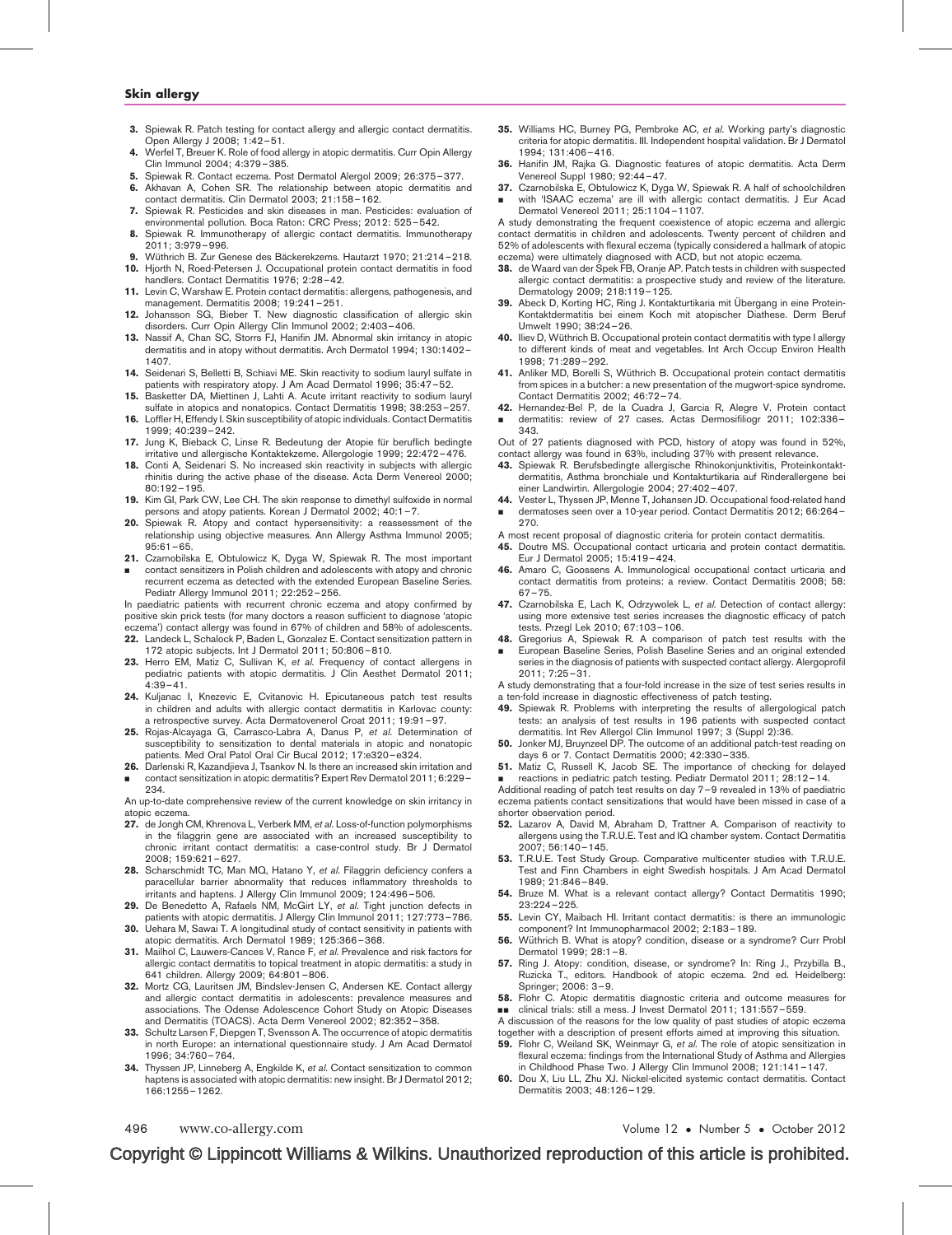- <span id="page-5-0"></span>3. Spiewak R. Patch testing for contact allergy and allergic contact dermatitis. Open Allergy J 2008; 1:42–51.
- 4. Werfel T, Breuer K. Role of food allergy in atopic dermatitis. Curr Opin Allergy Clin Immunol 2004; 4:379–385.
- 5. Spiewak R. Contact eczema. Post Dermatol Alergol 2009; 26:375–377.
- 6. Akhavan A, Cohen SR. The relationship between atopic dermatitis and contact dermatitis. Clin Dermatol 2003; 21:158–162.
- 7. Spiewak R. Pesticides and skin diseases in man. Pesticides: evaluation of environmental pollution. Boca Raton: CRC Press; 2012: 525–542.
- 8. Spiewak R. Immunotherapy of allergic contact dermatitis. Immunotherapy 2011; 3:979–996.
- Wüthrich B. Zur Genese des Bäckerekzems. Hautarzt 1970; 21:214-218. 10. Hjorth N, Roed-Petersen J. Occupational protein contact dermatitis in food handlers. Contact Dermatitis 1976; 2:28-42.
- 11. Levin C, Warshaw E. Protein contact dermatitis: allergens, pathogenesis, and management. Dermatitis 2008; 19:241–251.
- 12. Johansson SG, Bieber T. New diagnostic classification of allergic skin disorders. Curr Opin Allergy Clin Immunol 2002; 2:403–406.
- 13. Nassif A, Chan SC, Storrs FJ, Hanifin JM. Abnormal skin irritancy in atopic dermatitis and in atopy without dermatitis. Arch Dermatol 1994; 130:1402– 1407.
- 14. Seidenari S, Belletti B, Schiavi ME. Skin reactivity to sodium lauryl sulfate in patients with respiratory atopy. J Am Acad Dermatol 1996; 35:47–52. 15. Basketter DA, Miettinen J, Lahti A. Acute irritant reactivity to sodium lauryl
- sulfate in atopics and nonatopics. Contact Dermatitis 1998; 38:253–257.
- 16. Loffler H, Effendy I. Skin susceptibility of atopic individuals. Contact Dermatitis 1999; 40:239–242.
- 17. Jung K, Bieback C, Linse R. Bedeutung der Atopie für beruflich bedingte irritative und allergische Kontaktekzeme. Allergologie 1999; 22:472–476.
- 18. Conti A, Seidenari S. No increased skin reactivity in subjects with allergic rhinitis during the active phase of the disease. Acta Derm Venereol 2000; 80:192–195.
- 19. Kim GI, Park CW, Lee CH. The skin response to dimethyl sulfoxide in normal persons and atopy patients. Korean J Dermatol 2002; 40:1–7.
- 20. Spiewak R. Atopy and contact hypersensitivity: a reassessment of the relationship using objective measures. Ann Allergy Asthma Immunol 2005; 95:61–65.
- 21. Czarnobilska E, Obtulowicz K, Dyga W, Spiewak R. The most important & contact sensitizers in Polish children and adolescents with atopy and chronic
- recurrent eczema as detected with the extended European Baseline Series. Pediatr Allergy Immunol 2011; 22:252–256.
- In paediatric patients with recurrent chronic eczema and atopy confirmed by positive skin prick tests (for many doctors a reason sufficient to diagnose 'atopic

eczema') contact allergy was found in 67% of children and 58% of adolescents. 22. Landeck L, Schalock P, Baden L, Gonzalez E. Contact sensitization pattern in 172 atopic subjects. Int J Dermatol 2011; 50:806–810.

- 23. Herro EM, Matiz C, Sullivan K, et al. Frequency of contact allergens in pediatric patients with atopic dermatitis. J Clin Aesthet Dermatol 2011; 4:39–41.
- 24. Kuljanac I, Knezevic E, Cvitanovic H. Epicutaneous patch test results in children and adults with allergic contact dermatitis in Karlovac county: a retrospective survey. Acta Dermatovenerol Croat 2011; 19:91–97.
- 25. Rojas-Alcayaga G, Carrasco-Labra A, Danus P, et al. Determination of susceptibility to sensitization to dental materials in atopic and nonatopic patients. Med Oral Patol Oral Cir Bucal 2012; 17:e320–e324.

26. Darlenski R, Kazandjieva J, Tsankov N. Is there an increased skin irritation and & contact sensitization in atopic dermatitis? Expert Rev Dermatol 2011; 6:229–

234. An up-to-date comprehensive review of the current knowledge on skin irritancy in atopic eczema.

- 27. de Jongh CM, Khrenova L, Verberk MM, et al. Loss-of-function polymorphisms in the filaggrin gene are associated with an increased susceptibility to chronic irritant contact dermatitis: a case-control study. Br J Dermatol 2008; 159:621–627.
- 28. Scharschmidt TC, Man MQ, Hatano Y, et al. Filaggrin deficiency confers a paracellular barrier abnormality that reduces inflammatory thresholds to irritants and haptens. J Allergy Clin Immunol 2009; 124:496–506.
- 29. De Benedetto A, Rafaels NM, McGirt LY, et al. Tight junction defects in patients with atopic dermatitis. J Allergy Clin Immunol 2011; 127:773–786.
- 30. Uehara M, Sawai T. A longitudinal study of contact sensitivity in patients with atopic dermatitis. Arch Dermatol 1989; 125:366–368.
- 31. Mailhol C, Lauwers-Cances V, Rance F, et al. Prevalence and risk factors for allergic contact dermatitis to topical treatment in atopic dermatitis: a study in 641 children. Allergy 2009; 64:801–806.
- 32. Mortz CG, Lauritsen JM, Bindslev-Jensen C, Andersen KE. Contact allergy and allergic contact dermatitis in adolescents: prevalence measures and associations. The Odense Adolescence Cohort Study on Atopic Diseases and Dermatitis (TOACS). Acta Derm Venereol 2002; 82:352–358.
- 33. Schultz Larsen F, Diepgen T, Svensson A. The occurrence of atopic dermatitis in north Europe: an international questionnaire study. J Am Acad Dermatol 1996; 34:760–764.
- 34. Thyssen JP, Linneberg A, Engkilde K, et al. Contact sensitization to common haptens is associated with atopic dermatitis: new insight. Br J Dermatol 2012; 166:1255–1262.
- 35. Williams HC, Burney PG, Pembroke AC, et al. Working party's diagnostic criteria for atopic dermatitis. III. Independent hospital validation. Br J Dermatol 1994; 131:406–416.
- 36. Hanifin JM, Rajka G. Diagnostic features of atopic dermatitis. Acta Derm Venereol Suppl 1980; 92:44–47.
- 37. Czarnobilska E, Obtulowicz K, Dyga W, Spiewak R. A half of schoolchildren & with 'ISAAC eczema' are ill with allergic contact dermatitis. J Eur Acad Dermatol Venereol 2011; 25:1104–1107.

A study demonstrating the frequent coexistence of atopic eczema and allergic contact dermatitis in children and adolescents. Twenty percent of children and 52% of adolescents with flexural eczema (typically considered a hallmark of atopic eczema) were ultimately diagnosed with ACD, but not atopic eczema.

- 38. de Waard van der Spek FB, Oranje AP. Patch tests in children with suspected allergic contact dermatitis: a prospective study and review of the literature. Dermatology 2009; 218:119–125.
- 39. Abeck D, Korting HC, Ring J. Kontakturtikaria mit Übergang in eine Protein-Kontaktdermatitis bei einem Koch mit atopischer Diathese. Derm Beruf Umwelt 1990; 38:24–26.
- 40. Iliev D. Wüthrich B. Occupational protein contact dermatitis with type I allergy to different kinds of meat and vegetables. Int Arch Occup Environ Health 1998; 71:289–292.
- 41. Anliker MD, Borelli S, Wüthrich B. Occupational protein contact dermatitis from spices in a butcher: a new presentation of the mugwort-spice syndrome. Contact Dermatitis 2002; 46:72–74.
- 42. Hernandez-Bel P, de la Cuadra J, Garcia R, Alegre V. Protein contact & dermatitis: review of 27 cases. Actas Dermosifiliogr 2011; 102:336– 343.
- Out of 27 patients diagnosed with PCD, history of atopy was found in 52%, contact allergy was found in 63%, including 37% with present relevance.
- 43. Spiewak R. Berufsbedingte allergische Rhinokonjunktivitis, Proteinkontaktdermatitis, Asthma bronchiale und Kontakturtikaria auf Rinderallergene bei einer Landwirtin. Allergologie 2004; 27:402–407.
- 44. Vester L, Thyssen JP, Menne T, Johansen JD. Occupational food-related hand & dermatoses seen over a 10-year period. Contact Dermatitis 2012; 66:264– 270.
- A most recent proposal of diagnostic criteria for protein contact dermatitis.
- 45. Doutre MS. Occupational contact urticaria and protein contact dermatitis. Eur J Dermatol 2005; 15:419–424.
- 46. Amaro C, Goossens A. Immunological occupational contact urticaria and contact dermatitis from proteins: a review. Contact Dermatitis 2008; 58: 67–75.
- 47. Czarnobilska E, Lach K, Odrzywolek L, et al. Detection of contact allergy: using more extensive test series increases the diagnostic efficacy of patch tests. Przegl Lek 2010; 67:103–106.
- 48. Gregorius A, Spiewak R. A comparison of patch test results with the & European Baseline Series, Polish Baseline Series and an original extended
- series in the diagnosis of patients with suspected contact allergy. Alergoprofil 2011; 7:25–31.

A study demonstrating that a four-fold increase in the size of test series results in a ten-fold increase in diagnostic effectiveness of patch testing.

- 49. Spiewak R. Problems with interpreting the results of allergological patch tests: an analysis of test results in 196 patients with suspected contact dermatitis. Int Rev Allergol Clin Immunol 1997; 3 (Suppl 2):36.
- 50. Jonker MJ, Bruynzeel DP. The outcome of an additional patch-test reading on
- days 6 or 7. Contact Dermatitis 2000; 42:330–335. 51. Matiz C, Russell K, Jacob SE. The importance of checking for delayed & reactions in pediatric patch testing. Pediatr Dermatol 2011; 28:12–14.

Additional reading of patch test results on day 7–9 revealed in 13% of paediatric eczema patients contact sensitizations that would have been missed in case of a shorter observation period.

- 52. Lazarov A, David M, Abraham D, Trattner A. Comparison of reactivity to allergens using the T.R.U.E. Test and IQ chamber system. Contact Dermatitis 2007; 56:140–145.
- 53. T.R.U.E. Test Study Group. Comparative multicenter studies with T.R.U.E. Test and Finn Chambers in eight Swedish hospitals. J Am Acad Dermatol 1989; 21:846–849.
- 54. Bruze M. What is a relevant contact allergy? Contact Dermatitis 1990; 23:224–225.
- 55. Levin CY, Maibach HI. Irritant contact dermatitis: is there an immunologic component? Int Immunopharmacol 2002; 2:183–189.
- 56. Wüthrich B. What is atopy? condition, disease or a syndrome? Curr Probl Dermatol 1999; 28:1–8.
- 57. Ring J. Atopy: condition, disease, or syndrome? In: Ring J., Przybilla B., Ruzicka T., editors. Handbook of atopic eczema. 2nd ed. Heidelberg: Springer; 2006: 3–9.
- 58. Flohr C. Atopic dermatitis diagnostic criteria and outcome measures for && clinical trials: still a mess. J Invest Dermatol 2011; 131:557–559.

A discussion of the reasons for the low quality of past studies of atopic eczema together with a description of present efforts aimed at improving this situation.

- 59. Flohr C, Weiland SK, Weinmayr G, et al. The role of atopic sensitization in flexural eczema: findings from the International Study of Asthma and Allergies in Childhood Phase Two. J Allergy Clin Immunol 2008; 121:141–147.
- 60. Dou X, Liu LL, Zhu XJ. Nickel-elicited systemic contact dermatitis. Contact Dermatitis 2003; 48:126–129.

496 www.co-allergy.com **Volume 12 • Number 5 • October 2012**